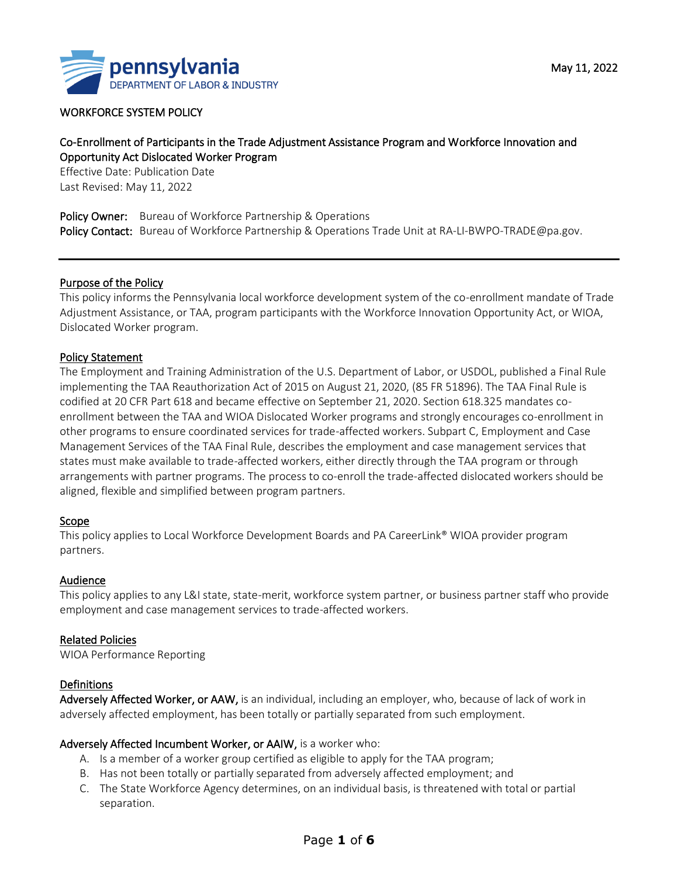

#### WORKFORCE SYSTEM POLICY

# Co-Enrollment of Participants in the Trade Adjustment Assistance Program and Workforce Innovation and Opportunity Act Dislocated Worker Program

Effective Date: Publication Date Last Revised: May 11, 2022

Policy Owner:Bureau of Workforce Partnership & Operations Policy Contact: Bureau of Workforce Partnership & Operations Trade Unit at RA-LI-BWPO-TRADE@pa.gov.

#### Purpose of the Policy

This policy informs the Pennsylvania local workforce development system of the co-enrollment mandate of Trade Adjustment Assistance, or TAA, program participants with the Workforce Innovation Opportunity Act, or WIOA, Dislocated Worker program.

#### Policy Statement

The Employment and Training Administration of the U.S. Department of Labor, or USDOL, published a Final Rule implementing the TAA Reauthorization Act of 2015 on August 21, 2020, (85 FR 51896). The TAA Final Rule is codified at 20 CFR Part 618 and became effective on September 21, 2020. Section 618.325 mandates coenrollment between the TAA and WIOA Dislocated Worker programs and strongly encourages co-enrollment in other programs to ensure coordinated services for trade-affected workers. Subpart C, Employment and Case Management Services of the TAA Final Rule, describes the employment and case management services that states must make available to trade-affected workers, either directly through the TAA program or through arrangements with partner programs. The process to co-enroll the trade-affected dislocated workers should be aligned, flexible and simplified between program partners.

#### Scope

This policy applies to Local Workforce Development Boards and PA CareerLink® WIOA provider program partners.

#### Audience

This policy applies to any L&I state, state-merit, workforce system partner, or business partner staff who provide employment and case management services to trade-affected workers.

#### Related Policies

WIOA Performance Reporting

#### Definitions

Adversely Affected Worker, or AAW, is an individual, including an employer, who, because of lack of work in adversely affected employment, has been totally or partially separated from such employment.

#### Adversely Affected Incumbent Worker, or AAIW, is a worker who:

- A. Is a member of a worker group certified as eligible to apply for the TAA program;
- B. Has not been totally or partially separated from adversely affected employment; and
- C. The State Workforce Agency determines, on an individual basis, is threatened with total or partial separation.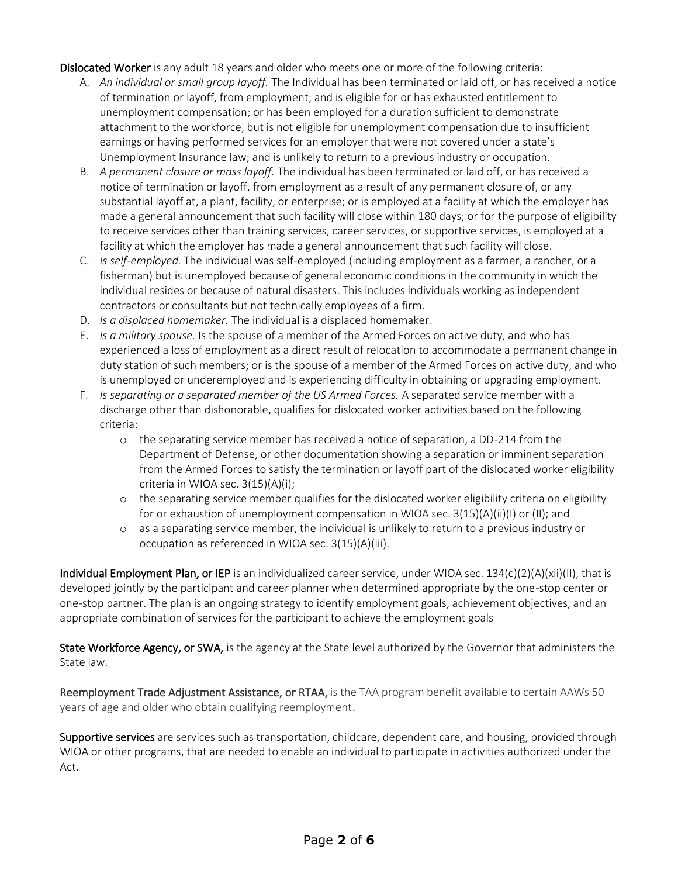Dislocated Worker is any adult 18 years and older who meets one or more of the following criteria:

- A. *An individual or small group layoff.* The Individual has been terminated or laid off, or has received a notice of termination or layoff, from employment; and is eligible for or has exhausted entitlement to unemployment compensation; or has been employed for a duration sufficient to demonstrate attachment to the workforce, but is not eligible for unemployment compensation due to insufficient earnings or having performed services for an employer that were not covered under a state's Unemployment Insurance law; and is unlikely to return to a previous industry or occupation.
- B. *A permanent closure or mass layoff.* The individual has been terminated or laid off, or has received a notice of termination or layoff, from employment as a result of any permanent closure of, or any substantial layoff at, a plant, facility, or enterprise; or is employed at a facility at which the employer has made a general announcement that such facility will close within 180 days; or for the purpose of eligibility to receive services other than training services, career services, or supportive services, is employed at a facility at which the employer has made a general announcement that such facility will close.
- C. *Is self-employed.* The individual was self-employed (including employment as a farmer, a rancher, or a fisherman) but is unemployed because of general economic conditions in the community in which the individual resides or because of natural disasters. This includes individuals working as independent contractors or consultants but not technically employees of a firm.
- D. *Is a displaced homemaker.* The individual is a displaced homemaker.
- E. *Is a military spouse.* Is the spouse of a member of the Armed Forces on active duty, and who has experienced a loss of employment as a direct result of relocation to accommodate a permanent change in duty station of such members; or is the spouse of a member of the Armed Forces on active duty, and who is unemployed or underemployed and is experiencing difficulty in obtaining or upgrading employment.
- F. *Is separating or a separated member of the US Armed Forces.* A separated service member with a discharge other than dishonorable, qualifies for dislocated worker activities based on the following criteria:
	- o the separating service member has received a notice of separation, a DD-214 from the Department of Defense, or other documentation showing a separation or imminent separation from the Armed Forces to satisfy the termination or layoff part of the dislocated worker eligibility criteria in WIOA sec. 3(15)(A)(i);
	- o the separating service member qualifies for the dislocated worker eligibility criteria on eligibility for or exhaustion of unemployment compensation in WIOA sec.  $3(15)(A)(ii)(I)$  or (II); and
	- o as a separating service member, the individual is unlikely to return to a previous industry or occupation as referenced in WIOA sec. 3(15)(A)(iii).

Individual Employment Plan, or IEP is an individualized career service, under WIOA sec. 134(c)(2)(A)(xii)(II), that is developed jointly by the participant and career planner when determined appropriate by the one-stop center or one-stop partner. The plan is an ongoing strategy to identify employment goals, achievement objectives, and an appropriate combination of services for the participant to achieve the employment goals

State Workforce Agency, or SWA, is the agency at the State level authorized by the Governor that administers the State law.

Reemployment Trade Adjustment Assistance, or RTAA, is the TAA program benefit available to certain AAWs 50 years of age and older who obtain qualifying reemployment.

Supportive services are services such as transportation, childcare, dependent care, and housing, provided through WIOA or other programs, that are needed to enable an individual to participate in activities authorized under the Act.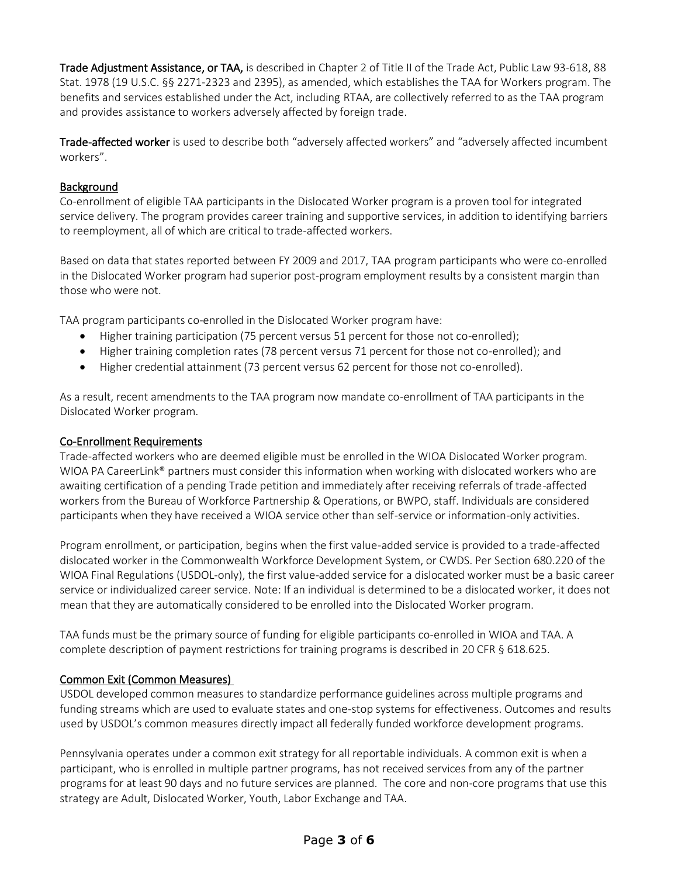Trade Adjustment Assistance, or TAA, is described in Chapter 2 of Title II of the Trade Act, Public Law 93-618, 88 Stat. 1978 (19 U.S.C. §§ 2271-2323 and 2395), as amended, which establishes the TAA for Workers program. The benefits and services established under the Act, including RTAA, are collectively referred to as the TAA program and provides assistance to workers adversely affected by foreign trade.

Trade-affected worker is used to describe both "adversely affected workers" and "adversely affected incumbent workers".

## Background

Co-enrollment of eligible TAA participants in the Dislocated Worker program is a proven tool for integrated service delivery. The program provides career training and supportive services, in addition to identifying barriers to reemployment, all of which are critical to trade-affected workers.

Based on data that states reported between FY 2009 and 2017, TAA program participants who were co-enrolled in the Dislocated Worker program had superior post-program employment results by a consistent margin than those who were not.

TAA program participants co-enrolled in the Dislocated Worker program have:

- Higher training participation (75 percent versus 51 percent for those not co-enrolled);
- Higher training completion rates (78 percent versus 71 percent for those not co-enrolled); and
- Higher credential attainment (73 percent versus 62 percent for those not co-enrolled).

As a result, recent amendments to the TAA program now mandate co-enrollment of TAA participants in the Dislocated Worker program.

#### Co-Enrollment Requirements

Trade-affected workers who are deemed eligible must be enrolled in the WIOA Dislocated Worker program. WIOA PA CareerLink® partners must consider this information when working with dislocated workers who are awaiting certification of a pending Trade petition and immediately after receiving referrals of trade-affected workers from the Bureau of Workforce Partnership & Operations, or BWPO, staff. Individuals are considered participants when they have received a WIOA service other than self-service or information-only activities.

Program enrollment, or participation, begins when the first value-added service is provided to a trade-affected dislocated worker in the Commonwealth Workforce Development System, or CWDS. Per Section 680.220 of the WIOA Final Regulations (USDOL-only), the first value-added service for a dislocated worker must be a basic career service or individualized career service. Note: If an individual is determined to be a dislocated worker, it does not mean that they are automatically considered to be enrolled into the Dislocated Worker program.

TAA funds must be the primary source of funding for eligible participants co-enrolled in WIOA and TAA. A complete description of payment restrictions for training programs is described in 20 CFR § 618.625.

# Common Exit (Common Measures)

USDOL developed common measures to standardize performance guidelines across multiple programs and funding streams which are used to evaluate states and one-stop systems for effectiveness. Outcomes and results used by USDOL's common measures directly impact all federally funded workforce development programs.

Pennsylvania operates under a common exit strategy for all reportable individuals. A common exit is when a participant, who is enrolled in multiple partner programs, has not received services from any of the partner programs for at least 90 days and no future services are planned. The core and non-core programs that use this strategy are Adult, Dislocated Worker, Youth, Labor Exchange and TAA.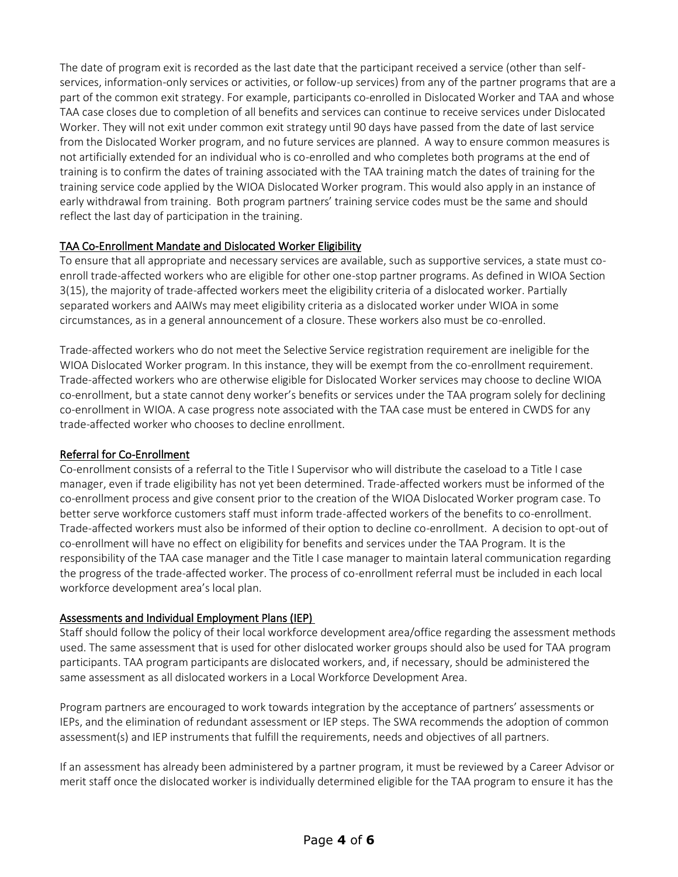The date of program exit is recorded as the last date that the participant received a service (other than selfservices, information-only services or activities, or follow-up services) from any of the partner programs that are a part of the common exit strategy. For example, participants co-enrolled in Dislocated Worker and TAA and whose TAA case closes due to completion of all benefits and services can continue to receive services under Dislocated Worker. They will not exit under common exit strategy until 90 days have passed from the date of last service from the Dislocated Worker program, and no future services are planned. A way to ensure common measures is not artificially extended for an individual who is co-enrolled and who completes both programs at the end of training is to confirm the dates of training associated with the TAA training match the dates of training for the training service code applied by the WIOA Dislocated Worker program. This would also apply in an instance of early withdrawal from training. Both program partners' training service codes must be the same and should reflect the last day of participation in the training.

# TAA Co-Enrollment Mandate and Dislocated Worker Eligibility

To ensure that all appropriate and necessary services are available, such as supportive services, a state must coenroll trade-affected workers who are eligible for other one-stop partner programs. As defined in WIOA Section 3(15), the majority of trade-affected workers meet the eligibility criteria of a dislocated worker. Partially separated workers and AAIWs may meet eligibility criteria as a dislocated worker under WIOA in some circumstances, as in a general announcement of a closure. These workers also must be co-enrolled.

Trade-affected workers who do not meet the Selective Service registration requirement are ineligible for the WIOA Dislocated Worker program. In this instance, they will be exempt from the co-enrollment requirement. Trade-affected workers who are otherwise eligible for Dislocated Worker services may choose to decline WIOA co-enrollment, but a state cannot deny worker's benefits or services under the TAA program solely for declining co-enrollment in WIOA. A case progress note associated with the TAA case must be entered in CWDS for any trade-affected worker who chooses to decline enrollment.

# Referral for Co-Enrollment

Co-enrollment consists of a referral to the Title I Supervisor who will distribute the caseload to a Title I case manager, even if trade eligibility has not yet been determined. Trade-affected workers must be informed of the co-enrollment process and give consent prior to the creation of the WIOA Dislocated Worker program case. To better serve workforce customers staff must inform trade-affected workers of the benefits to co-enrollment. Trade-affected workers must also be informed of their option to decline co-enrollment. A decision to opt-out of co-enrollment will have no effect on eligibility for benefits and services under the TAA Program. It is the responsibility of the TAA case manager and the Title I case manager to maintain lateral communication regarding the progress of the trade-affected worker. The process of co-enrollment referral must be included in each local workforce development area's local plan.

# Assessments and Individual Employment Plans (IEP)

Staff should follow the policy of their local workforce development area/office regarding the assessment methods used. The same assessment that is used for other dislocated worker groups should also be used for TAA program participants. TAA program participants are dislocated workers, and, if necessary, should be administered the same assessment as all dislocated workers in a Local Workforce Development Area.

Program partners are encouraged to work towards integration by the acceptance of partners' assessments or IEPs, and the elimination of redundant assessment or IEP steps. The SWA recommends the adoption of common assessment(s) and IEP instruments that fulfill the requirements, needs and objectives of all partners.

If an assessment has already been administered by a partner program, it must be reviewed by a Career Advisor or merit staff once the dislocated worker is individually determined eligible for the TAA program to ensure it has the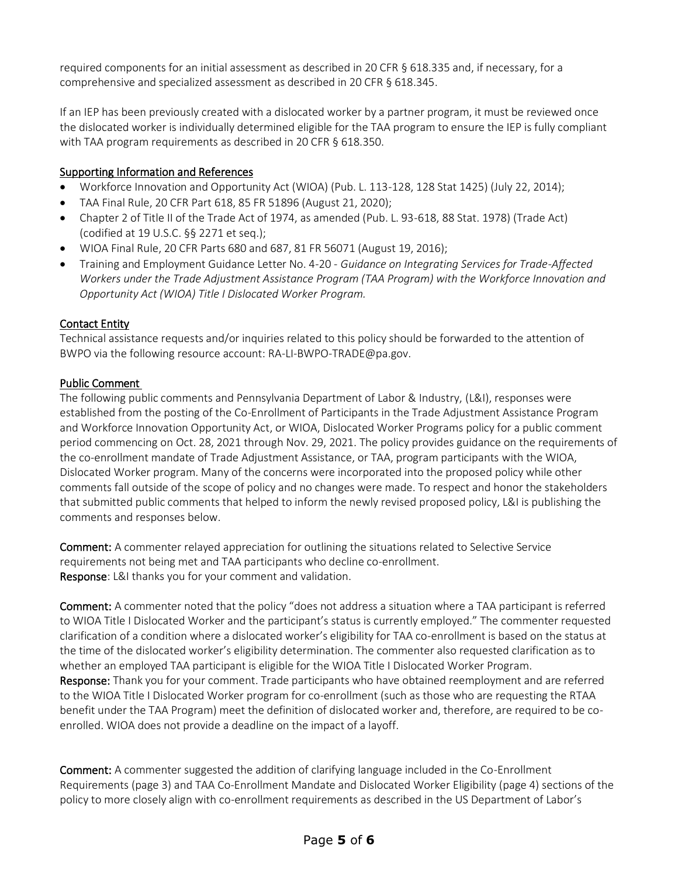required components for an initial assessment as described in 20 CFR § 618.335 and, if necessary, for a comprehensive and specialized assessment as described in 20 CFR § 618.345.

If an IEP has been previously created with a dislocated worker by a partner program, it must be reviewed once the dislocated worker is individually determined eligible for the TAA program to ensure the IEP is fully compliant with TAA program requirements as described in 20 CFR § 618.350.

## Supporting Information and References

- Workforce Innovation and Opportunity Act (WIOA) (Pub. L. 113-128, 128 Stat 1425) (July 22, 2014);
- TAA Final Rule, 20 CFR Part 618, 85 FR 51896 (August 21, 2020);
- Chapter 2 of Title II of the Trade Act of 1974, as amended (Pub. L. 93-618, 88 Stat. 1978) (Trade Act) (codified at 19 U.S.C. §§ 2271 et seq.);
- WIOA Final Rule, 20 CFR Parts 680 and 687, 81 FR 56071 (August 19, 2016);
- Training and Employment Guidance Letter No. 4-20 *Guidance on Integrating Services for Trade-Affected Workers under the Trade Adjustment Assistance Program (TAA Program) with the Workforce Innovation and Opportunity Act (WIOA) Title I Dislocated Worker Program.*

### Contact Entity

Technical assistance requests and/or inquiries related to this policy should be forwarded to the attention of BWPO via the following resource account: RA-LI-BWPO-TRADE@pa.gov.

### Public Comment

The following public comments and Pennsylvania Department of Labor & Industry, (L&I), responses were established from the posting of the Co-Enrollment of Participants in the Trade Adjustment Assistance Program and Workforce Innovation Opportunity Act, or WIOA, Dislocated Worker Programs policy for a public comment period commencing on Oct. 28, 2021 through Nov. 29, 2021. The policy provides guidance on the requirements of the co-enrollment mandate of Trade Adjustment Assistance, or TAA, program participants with the WIOA, Dislocated Worker program. Many of the concerns were incorporated into the proposed policy while other comments fall outside of the scope of policy and no changes were made. To respect and honor the stakeholders that submitted public comments that helped to inform the newly revised proposed policy, L&I is publishing the comments and responses below.

Comment: A commenter relayed appreciation for outlining the situations related to Selective Service requirements not being met and TAA participants who decline co-enrollment. Response: L&I thanks you for your comment and validation.

Comment: A commenter noted that the policy "does not address a situation where a TAA participant is referred to WIOA Title I Dislocated Worker and the participant's status is currently employed." The commenter requested clarification of a condition where a dislocated worker's eligibility for TAA co-enrollment is based on the status at the time of the dislocated worker's eligibility determination. The commenter also requested clarification as to whether an employed TAA participant is eligible for the WIOA Title I Dislocated Worker Program. Response: Thank you for your comment. Trade participants who have obtained reemployment and are referred to the WIOA Title I Dislocated Worker program for co-enrollment (such as those who are requesting the RTAA benefit under the TAA Program) meet the definition of dislocated worker and, therefore, are required to be coenrolled. WIOA does not provide a deadline on the impact of a layoff.

Comment: A commenter suggested the addition of clarifying language included in the Co-Enrollment Requirements (page 3) and TAA Co-Enrollment Mandate and Dislocated Worker Eligibility (page 4) sections of the policy to more closely align with co-enrollment requirements as described in the US Department of Labor's